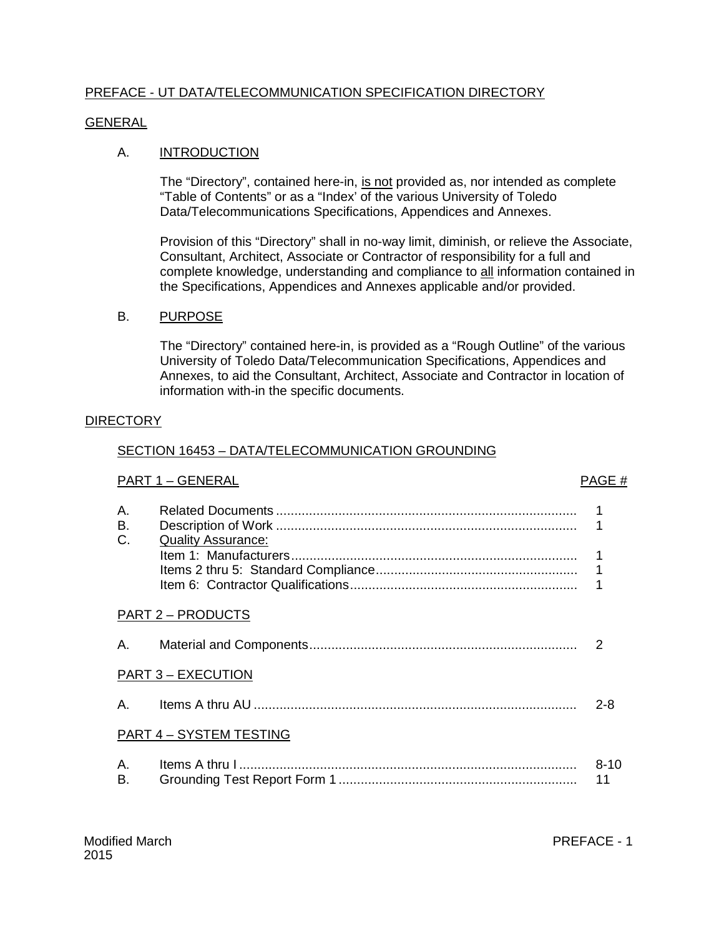## PREFACE - UT DATA/TELECOMMUNICATION SPECIFICATION DIRECTORY

#### GENERAL

### A. **INTRODUCTION**

The "Directory", contained here-in, is not provided as, nor intended as complete "Table of Contents" or as a "Index' of the various University of Toledo Data/Telecommunications Specifications, Appendices and Annexes.

Provision of this "Directory" shall in no-way limit, diminish, or relieve the Associate, Consultant, Architect, Associate or Contractor of responsibility for a full and complete knowledge, understanding and compliance to all information contained in the Specifications, Appendices and Annexes applicable and/or provided.

#### B. PURPOSE

The "Directory" contained here-in, is provided as a "Rough Outline" of the various University of Toledo Data/Telecommunication Specifications, Appendices and Annexes, to aid the Consultant, Architect, Associate and Contractor in location of information with-in the specific documents.

#### **DIRECTORY**

#### SECTION 16453 – DATA/TELECOMMUNICATION GROUNDING

# PART 1 – GENERAL PART 1 – GENERAL

| Α.<br>В.<br>C. | <b>Quality Assurance:</b>      | 1<br>1<br>1    |
|----------------|--------------------------------|----------------|
|                | <b>PART 2 – PRODUCTS</b>       |                |
| Α.             |                                | $\mathcal{P}$  |
|                | <b>PART 3 – EXECUTION</b>      |                |
| Α.             |                                | $2 - 8$        |
|                | <b>PART 4 - SYSTEM TESTING</b> |                |
| Α.<br>В.       |                                | $8 - 10$<br>11 |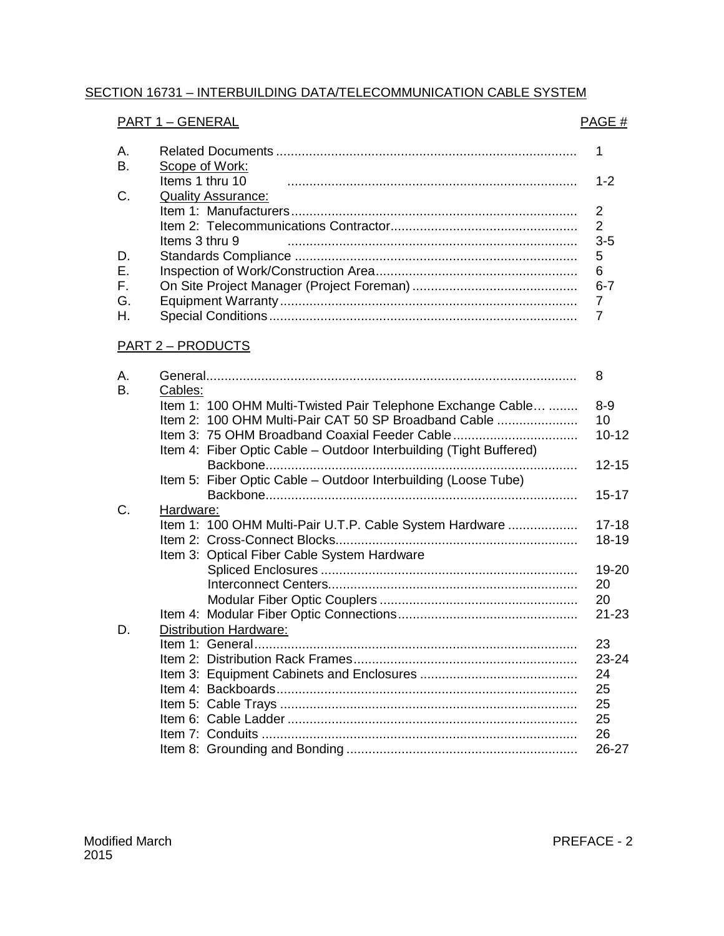# SECTION 16731 – INTERBUILDING DATA/TELECOMMUNICATION CABLE SYSTEM

## PART 1 – GENERAL PAGE #

| Scope of Work:            |         |
|---------------------------|---------|
| Items 1 thru 10           | $1 - 2$ |
| <b>Quality Assurance:</b> |         |
|                           | 2       |
|                           |         |
| Items 3 thru 9            | $3-5$   |
|                           | 5       |
|                           |         |
|                           | 6-7     |
|                           |         |
|                           |         |
|                           |         |

## PART 2 – PRODUCTS

| А. |           |                                                                    | 8         |
|----|-----------|--------------------------------------------------------------------|-----------|
| В. | Cables:   |                                                                    |           |
|    |           | Item 1: 100 OHM Multi-Twisted Pair Telephone Exchange Cable        | $8 - 9$   |
|    |           | Item 2: 100 OHM Multi-Pair CAT 50 SP Broadband Cable               | 10        |
|    |           | Item 3: 75 OHM Broadband Coaxial Feeder Cable                      | $10 - 12$ |
|    |           | Item 4: Fiber Optic Cable – Outdoor Interbuilding (Tight Buffered) |           |
|    |           | Backbone.                                                          | $12 - 15$ |
|    |           | Item 5: Fiber Optic Cable - Outdoor Interbuilding (Loose Tube)     |           |
|    |           |                                                                    | $15 - 17$ |
| C. | Hardware: |                                                                    |           |
|    |           | Item 1: 100 OHM Multi-Pair U.T.P. Cable System Hardware            | $17 - 18$ |
|    |           |                                                                    | 18-19     |
|    |           | Item 3: Optical Fiber Cable System Hardware                        |           |
|    |           |                                                                    | 19-20     |
|    |           |                                                                    | 20        |
|    |           |                                                                    | 20        |
|    |           |                                                                    | $21 - 23$ |
| D. |           | <b>Distribution Hardware:</b>                                      |           |
|    |           |                                                                    | 23        |
|    |           |                                                                    | 23-24     |
|    |           |                                                                    | 24        |
|    |           |                                                                    | 25        |
|    |           |                                                                    | 25        |
|    |           |                                                                    | 25        |
|    |           |                                                                    | 26        |
|    |           |                                                                    | 26-27     |
|    |           |                                                                    |           |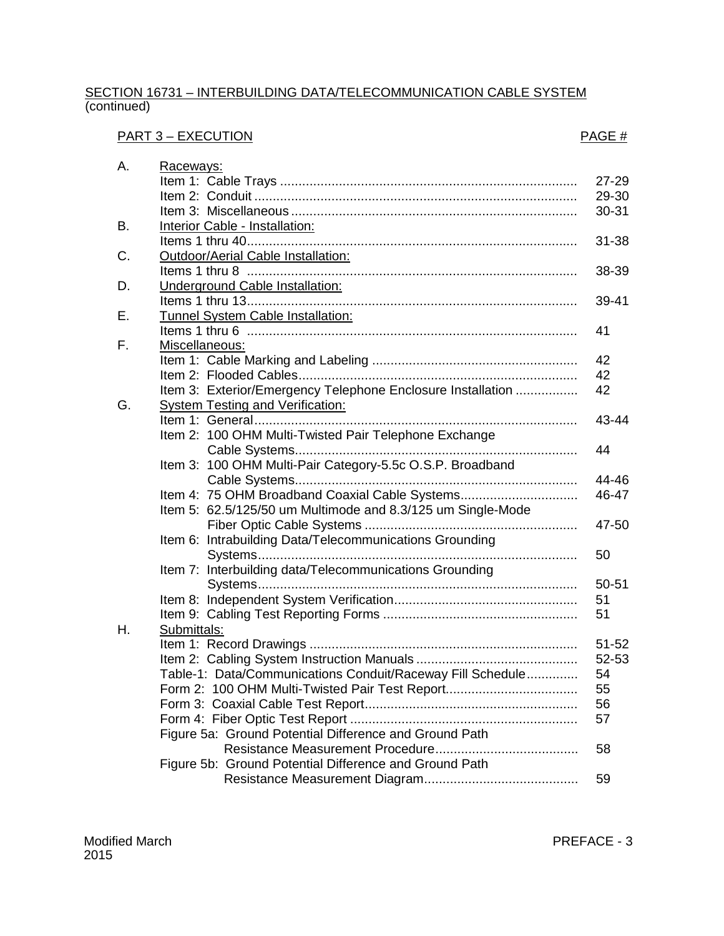#### SECTION 16731 – INTERBUILDING DATA/TELECOMMUNICATION CABLE SYSTEM (continued)

# PART 3 – EXECUTION PART 3 – EXECUTION

| А. | Raceways:                                                   |           |
|----|-------------------------------------------------------------|-----------|
|    |                                                             | 27-29     |
|    |                                                             | 29-30     |
|    |                                                             | 30-31     |
| В. | Interior Cable - Installation:                              |           |
|    |                                                             | $31 - 38$ |
| C. | Outdoor/Aerial Cable Installation:                          |           |
|    |                                                             | 38-39     |
| D. | Underground Cable Installation:                             |           |
|    |                                                             | 39-41     |
| Е. | Tunnel System Cable Installation:                           |           |
|    |                                                             | 41        |
| F. | Miscellaneous:                                              |           |
|    |                                                             | 42        |
|    |                                                             | 42        |
|    | Item 3: Exterior/Emergency Telephone Enclosure Installation | 42        |
| G. | <b>System Testing and Verification:</b>                     |           |
|    |                                                             | 43-44     |
|    | Item 2: 100 OHM Multi-Twisted Pair Telephone Exchange       |           |
|    |                                                             | 44        |
|    | Item 3: 100 OHM Multi-Pair Category-5.5c O.S.P. Broadband   |           |
|    |                                                             | 44-46     |
|    | Item 4: 75 OHM Broadband Coaxial Cable Systems              | 46-47     |
|    | Item 5: 62.5/125/50 um Multimode and 8.3/125 um Single-Mode |           |
|    |                                                             | 47-50     |
|    | Item 6: Intrabuilding Data/Telecommunications Grounding     |           |
|    |                                                             | 50        |
|    | Item 7: Interbuilding data/Telecommunications Grounding     |           |
|    |                                                             | 50-51     |
|    |                                                             | 51        |
|    |                                                             | 51        |
| Η. | Submittals:                                                 |           |
|    |                                                             | $51 - 52$ |
|    |                                                             | 52-53     |
|    | Table-1: Data/Communications Conduit/Raceway Fill Schedule  | 54        |
|    | Form 2: 100 OHM Multi-Twisted Pair Test Report              | 55        |
|    |                                                             | 56        |
|    |                                                             | 57        |
|    | Figure 5a: Ground Potential Difference and Ground Path      |           |
|    |                                                             | 58        |
|    | Figure 5b: Ground Potential Difference and Ground Path      |           |
|    |                                                             | 59        |

PREFACE - 3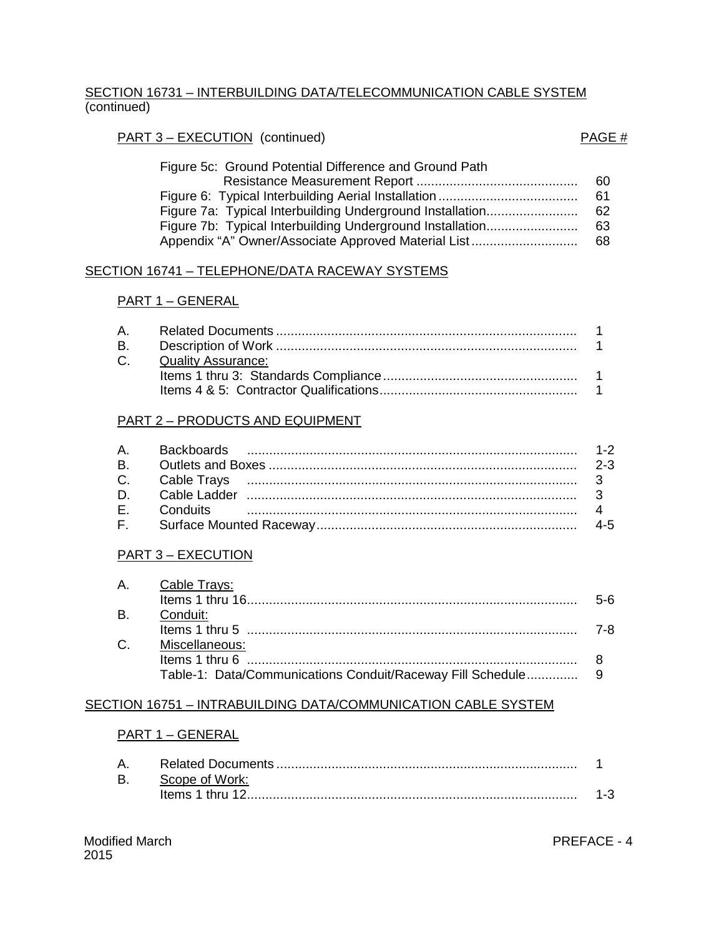### SECTION 16731 – INTERBUILDING DATA/TELECOMMUNICATION CABLE SYSTEM (continued)

### PART 3 – EXECUTION (continued) PART 3 – EXECUTION (continued)

| Figure 5c: Ground Potential Difference and Ground Path    |     |
|-----------------------------------------------------------|-----|
|                                                           | 60  |
|                                                           | 61. |
| Figure 7a: Typical Interbuilding Underground Installation | -62 |
| Figure 7b: Typical Interbuilding Underground Installation | 63. |
| Appendix "A" Owner/Associate Approved Material List       | 68  |

#### SECTION 16741 – TELEPHONE/DATA RACEWAY SYSTEMS

#### PART 1 – GENERAL

| C. Quality Assurance: |  |
|-----------------------|--|
|                       |  |
|                       |  |
|                       |  |

#### PART 2 – PRODUCTS AND EQUIPMENT

## PART 3 – EXECUTION

|  | A. Cable Trays:   |       |
|--|-------------------|-------|
|  |                   | $5-6$ |
|  | B. Conduit:       |       |
|  |                   | 7-8.  |
|  | C. Miscellaneous: |       |
|  |                   |       |
|  |                   |       |

#### SECTION 16751 – INTRABUILDING DATA/COMMUNICATION CABLE SYSTEM

#### PART 1 – GENERAL

| А. |                 |  |
|----|-----------------|--|
| В. | Scope of Work:  |  |
|    | tems 1 thru 12. |  |

PREFACE - 4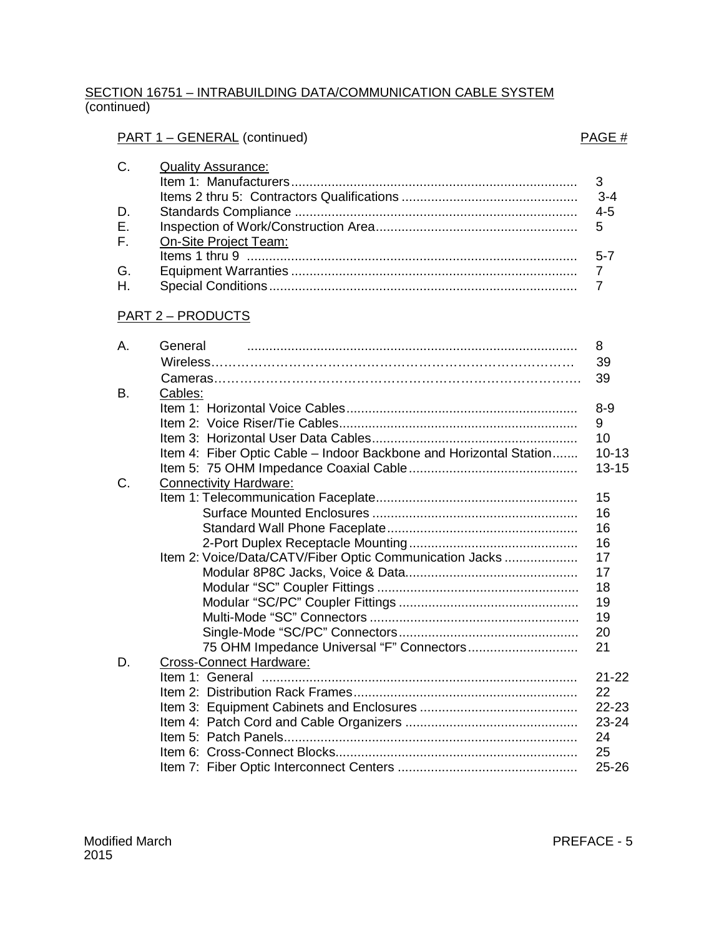### SECTION 16751 – INTRABUILDING DATA/COMMUNICATION CABLE SYSTEM (continued)

## PART 1 – GENERAL (continued) entitled and the state of the part of the PAGE  $\#$

| C.          | Quality Assurance:    |         |
|-------------|-----------------------|---------|
|             |                       |         |
|             |                       | $3 - 4$ |
| D.          |                       |         |
| E.          |                       |         |
| $F_{\perp}$ | On-Site Project Team: |         |
|             |                       |         |
| G.          |                       |         |
|             |                       |         |

### PART 2 – PRODUCTS

| А. | General                                                            | 8         |
|----|--------------------------------------------------------------------|-----------|
|    |                                                                    | 39        |
|    |                                                                    | 39        |
| Β. | Cables:                                                            |           |
|    |                                                                    | $8 - 9$   |
|    |                                                                    | 9         |
|    |                                                                    | 10        |
|    | Item 4: Fiber Optic Cable - Indoor Backbone and Horizontal Station | $10 - 13$ |
|    |                                                                    | $13 - 15$ |
| C. | <b>Connectivity Hardware:</b>                                      |           |
|    |                                                                    | 15        |
|    |                                                                    | 16        |
|    |                                                                    | 16        |
|    |                                                                    | 16        |
|    | Item 2: Voice/Data/CATV/Fiber Optic Communication Jacks            | 17        |
|    |                                                                    | 17        |
|    |                                                                    | 18        |
|    |                                                                    | 19        |
|    |                                                                    | 19        |
|    |                                                                    | 20        |
|    |                                                                    | 21        |
| D. | <b>Cross-Connect Hardware:</b>                                     |           |
|    |                                                                    | $21 - 22$ |
|    |                                                                    | 22        |
|    |                                                                    | 22-23     |
|    |                                                                    | 23-24     |
|    |                                                                    | 24        |
|    |                                                                    | 25        |
|    |                                                                    | $25 - 26$ |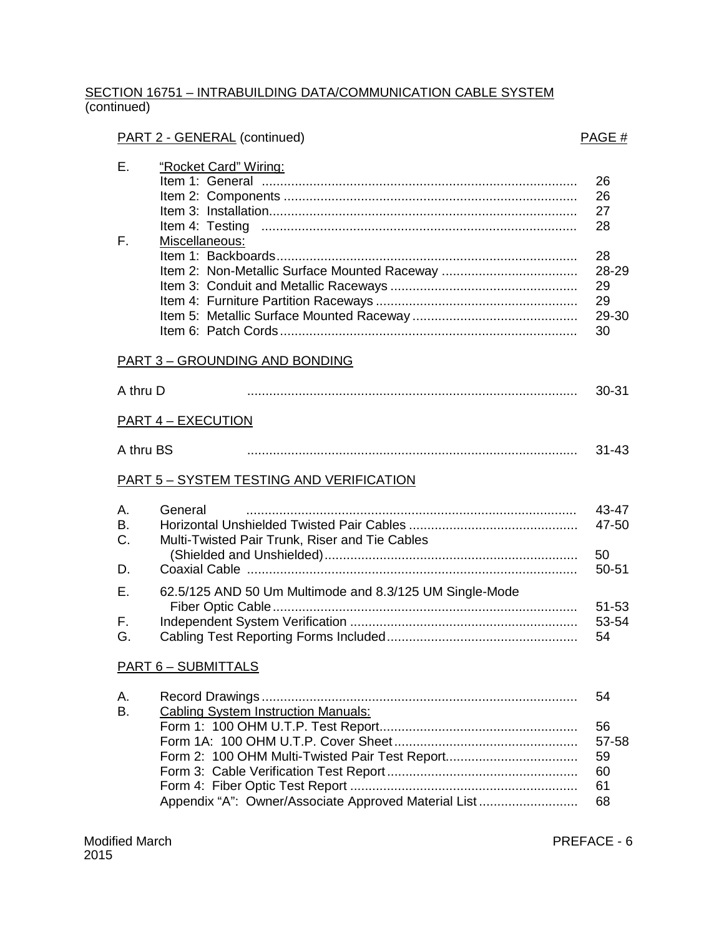### SECTION 16751 – INTRABUILDING DATA/COMMUNICATION CABLE SYSTEM (continued)

# PART 2 - GENERAL (continued) and the set of the set of the set of the PAGE  $\#$

| Е.<br>F.                   | "Rocket Card" Wiring:<br>Item 4: Testing<br>Miscellaneous:                                                                                           | 26<br>26<br>27<br>28<br>28<br>28-29<br>29<br>29<br>29-30<br>30 |
|----------------------------|------------------------------------------------------------------------------------------------------------------------------------------------------|----------------------------------------------------------------|
|                            | <b>PART 3 - GROUNDING AND BONDING</b>                                                                                                                |                                                                |
| A thru D                   |                                                                                                                                                      | $30 - 31$                                                      |
|                            | <b>PART 4 - EXECUTION</b>                                                                                                                            |                                                                |
| A thru BS                  |                                                                                                                                                      | $31 - 43$                                                      |
|                            | PART 5 - SYSTEM TESTING AND VERIFICATION                                                                                                             |                                                                |
| А.<br>B.<br>C.<br>D.       | General<br>Multi-Twisted Pair Trunk, Riser and Tie Cables                                                                                            | 43-47<br>47-50<br>50<br>$50 - 51$                              |
| Ε.                         | 62.5/125 AND 50 Um Multimode and 8.3/125 UM Single-Mode                                                                                              |                                                                |
| F.<br>G.                   |                                                                                                                                                      | $51 - 53$<br>53-54<br>54                                       |
| <b>PART 6 - SUBMITTALS</b> |                                                                                                                                                      |                                                                |
| А.<br>Β.                   | <b>Cabling System Instruction Manuals:</b><br>Form 2: 100 OHM Multi-Twisted Pair Test Report<br>Appendix "A": Owner/Associate Approved Material List | 54<br>56<br>57-58<br>59<br>60<br>61<br>68                      |

PREFACE - 6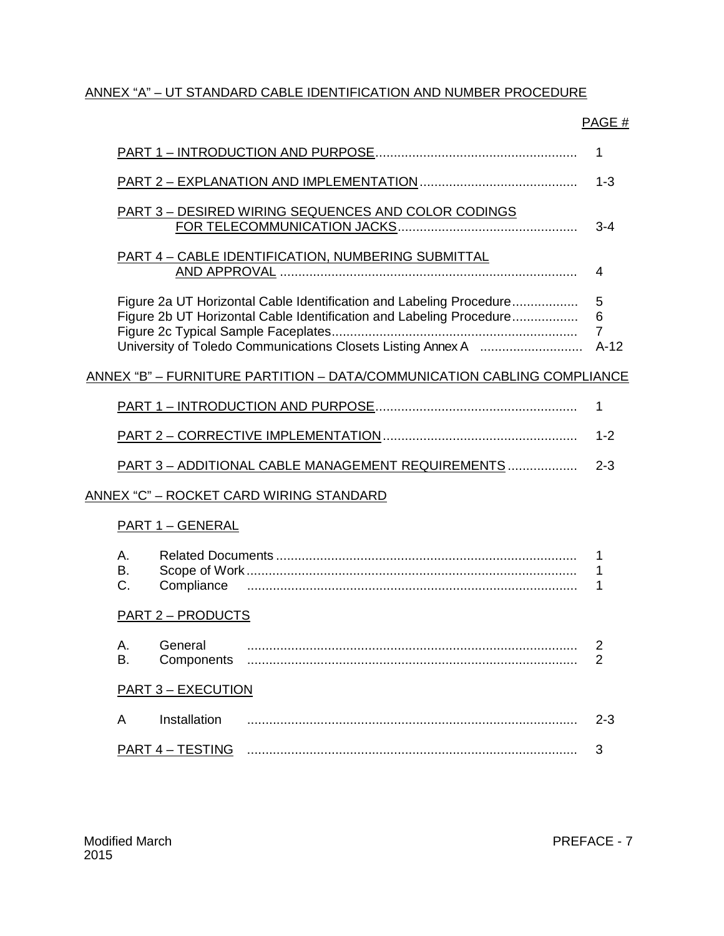## ANNEX "A" – UT STANDARD CABLE IDENTIFICATION AND NUMBER PROCEDURE

# PAGE #

|                                                                                                                                            | 1                                  |  |
|--------------------------------------------------------------------------------------------------------------------------------------------|------------------------------------|--|
|                                                                                                                                            | $1 - 3$                            |  |
| PART 3 - DESIRED WIRING SEQUENCES AND COLOR CODINGS                                                                                        | $3 - 4$                            |  |
| <b>PART 4 - CABLE IDENTIFICATION, NUMBERING SUBMITTAL</b>                                                                                  | 4                                  |  |
| Figure 2a UT Horizontal Cable Identification and Labeling Procedure<br>Figure 2b UT Horizontal Cable Identification and Labeling Procedure | 5<br>6<br>$\overline{7}$<br>$A-12$ |  |
| <u>ANNEX "B" – FURNITURE PARTITION – DATA/COMMUNICATION CABLING COMPLIANCE</u>                                                             |                                    |  |
|                                                                                                                                            | 1                                  |  |
|                                                                                                                                            | $1 - 2$                            |  |
| PART 3 - ADDITIONAL CABLE MANAGEMENT REQUIREMENTS                                                                                          | $2 - 3$                            |  |
| <u> ANNEX "C" – ROCKET CARD WIRING STANDARD</u>                                                                                            |                                    |  |
| <b>PART 1 - GENERAL</b>                                                                                                                    |                                    |  |
| А.<br>В.<br>C.                                                                                                                             | 1<br>1<br>1                        |  |
| <u> PART 2 – PRODUCTS</u>                                                                                                                  |                                    |  |
| А.<br>General<br>Β.<br>Components                                                                                                          | 2<br>2                             |  |
| <b>PART 3 - EXECUTION</b>                                                                                                                  |                                    |  |
| Installation<br>A                                                                                                                          | $2 - 3$                            |  |
| <b>PART 4 - TESTING</b>                                                                                                                    | 3                                  |  |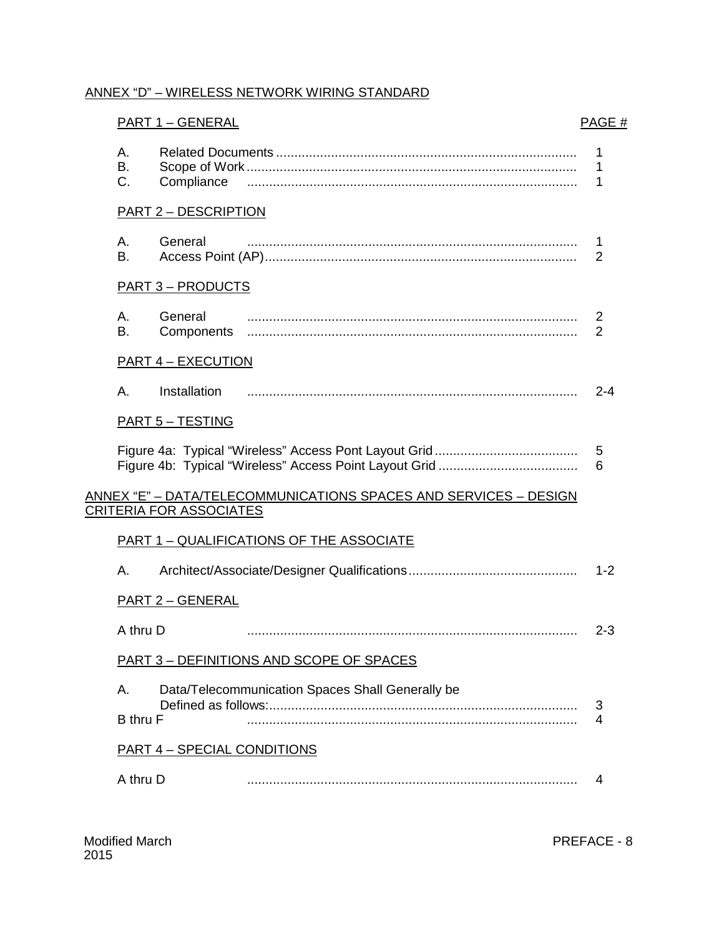## ANNEX "D" – WIRELESS NETWORK WIRING STANDARD

|                       | <b>PART 1 - GENERAL</b>            |                                                                         | PAGE#       |
|-----------------------|------------------------------------|-------------------------------------------------------------------------|-------------|
| А.<br>В.<br>C.        | Compliance                         |                                                                         | 1<br>1<br>1 |
|                       | <b>PART 2 - DESCRIPTION</b>        |                                                                         |             |
| А.<br>В.              | General                            |                                                                         | 1<br>2      |
|                       | <b>PART 3 - PRODUCTS</b>           |                                                                         |             |
| А.<br>В.              | General<br>Components              |                                                                         | 2<br>2      |
|                       | <b>PART 4 - EXECUTION</b>          |                                                                         |             |
| Α.                    | Installation                       |                                                                         | $2 - 4$     |
|                       | <b>PART 5 - TESTING</b>            |                                                                         |             |
|                       |                                    |                                                                         | 5<br>6      |
|                       | <b>CRITERIA FOR ASSOCIATES</b>     | <u>ANNEX "E" – DATA/TELECOMMUNICATIONS SPACES AND SERVICES – DESIGN</u> |             |
|                       |                                    | <b>PART 1 - QUALIFICATIONS OF THE ASSOCIATE</b>                         |             |
| А.                    |                                    |                                                                         | $1 - 2$     |
|                       | <b>PART 2 - GENERAL</b>            |                                                                         |             |
| A thru D              |                                    |                                                                         | $2 - 3$     |
|                       |                                    | <b>PART 3 - DEFINITIONS AND SCOPE OF SPACES</b>                         |             |
| А.<br><b>B</b> thru F |                                    | Data/Telecommunication Spaces Shall Generally be                        | 3<br>4      |
|                       | <b>PART 4 - SPECIAL CONDITIONS</b> |                                                                         |             |
| A thru D              |                                    |                                                                         | 4           |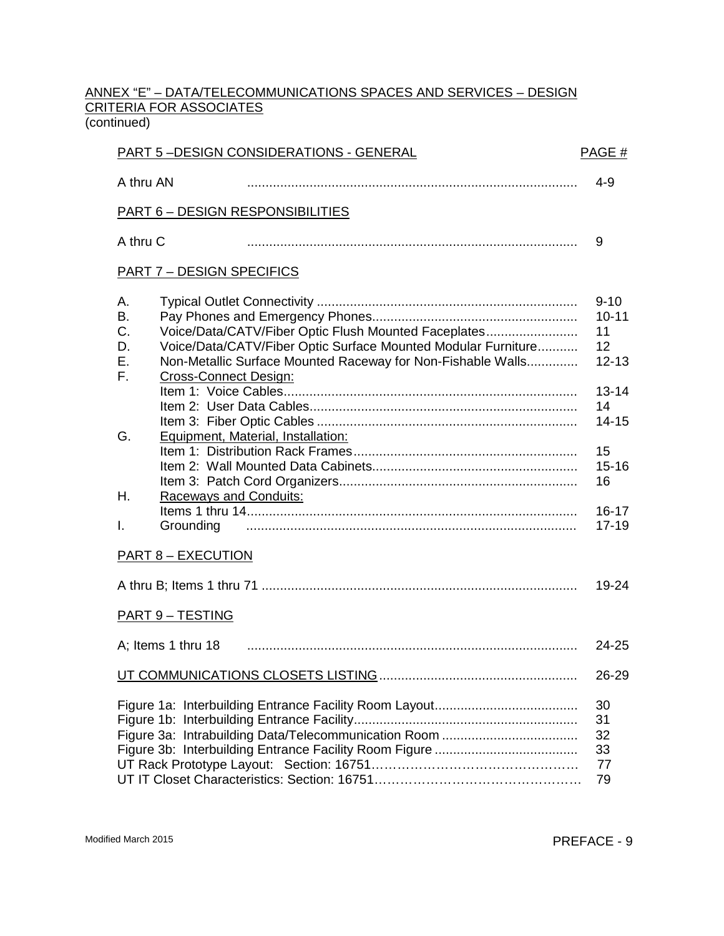#### ANNEX "E" – DATA/TELECOMMUNICATIONS SPACES AND SERVICES – DESIGN CRITERIA FOR ASSOCIATES (continued)

| <b>PART 5-DESIGN CONSIDERATIONS - GENERAL</b><br>PAGE #                                                                                                                                                                                                         |                                                                                |  |  |  |
|-----------------------------------------------------------------------------------------------------------------------------------------------------------------------------------------------------------------------------------------------------------------|--------------------------------------------------------------------------------|--|--|--|
| A thru AN                                                                                                                                                                                                                                                       | $4 - 9$                                                                        |  |  |  |
| <b>PART 6 - DESIGN RESPONSIBILITIES</b>                                                                                                                                                                                                                         |                                                                                |  |  |  |
| A thru C                                                                                                                                                                                                                                                        | 9                                                                              |  |  |  |
| <b>PART 7 - DESIGN SPECIFICS</b>                                                                                                                                                                                                                                |                                                                                |  |  |  |
| А.<br><b>B.</b><br>C.<br>Voice/Data/CATV/Fiber Optic Flush Mounted Faceplates<br>Voice/Data/CATV/Fiber Optic Surface Mounted Modular Furniture<br>D.<br>Ε.<br>Non-Metallic Surface Mounted Raceway for Non-Fishable Walls<br>F.<br><b>Cross-Connect Design:</b> | $9 - 10$<br>$10 - 11$<br>11<br>12<br>$12 - 13$<br>$13 - 14$<br>14<br>$14 - 15$ |  |  |  |
| Equipment, Material, Installation:<br>G.<br>Η.<br><b>Raceways and Conduits:</b><br>Grounding<br>I.                                                                                                                                                              | 15<br>$15 - 16$<br>16<br>$16 - 17$<br>$17 - 19$                                |  |  |  |
| <b>PART 8 - EXECUTION</b>                                                                                                                                                                                                                                       |                                                                                |  |  |  |
| <b>PART 9 - TESTING</b>                                                                                                                                                                                                                                         | $19 - 24$                                                                      |  |  |  |
| A; Items 1 thru 18                                                                                                                                                                                                                                              | 24-25                                                                          |  |  |  |
|                                                                                                                                                                                                                                                                 | 26-29                                                                          |  |  |  |
|                                                                                                                                                                                                                                                                 | 30<br>31<br>32<br>33<br>77<br>79                                               |  |  |  |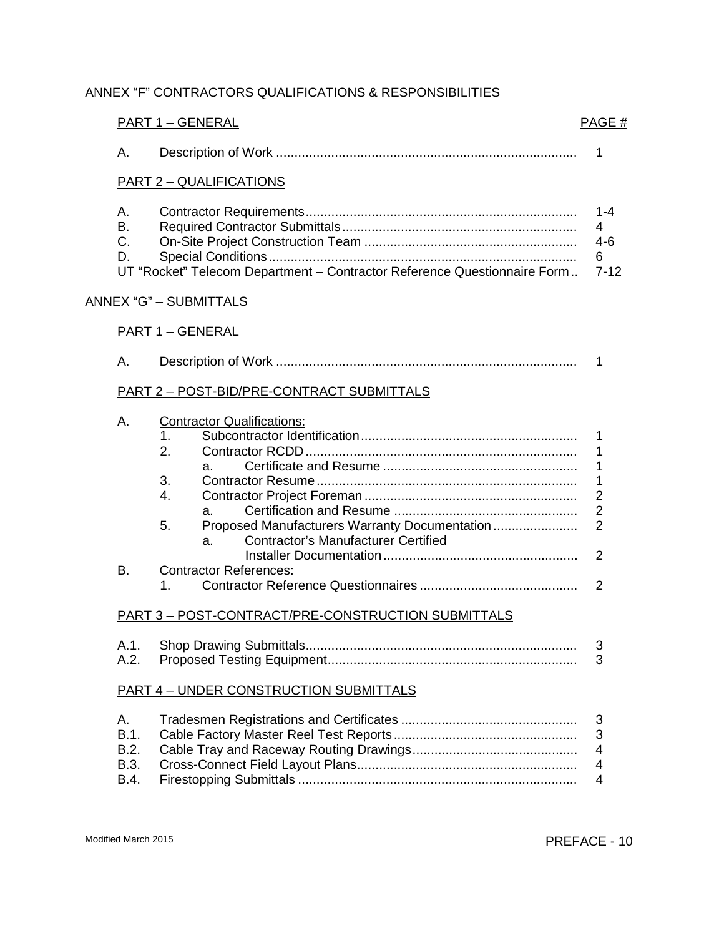## ANNEX "F" CONTRACTORS QUALIFICATIONS & RESPONSIBILITIES

|                                           | <b>PART 1 - GENERAL</b>                                                                                                                                                                        | PAGE#                                                        |  |  |
|-------------------------------------------|------------------------------------------------------------------------------------------------------------------------------------------------------------------------------------------------|--------------------------------------------------------------|--|--|
| А.                                        |                                                                                                                                                                                                | 1                                                            |  |  |
| <b>PART 2 - QUALIFICATIONS</b>            |                                                                                                                                                                                                |                                                              |  |  |
| А.<br>В.<br>C.<br>D.                      | UT "Rocket" Telecom Department - Contractor Reference Questionnaire Form                                                                                                                       | $1 - 4$<br>4<br>$4 - 6$<br>6<br>$7 - 12$                     |  |  |
|                                           | <u>ANNEX "G" – SUBMITTALS</u>                                                                                                                                                                  |                                                              |  |  |
| <b>PART 1 - GENERAL</b>                   |                                                                                                                                                                                                |                                                              |  |  |
| А.                                        |                                                                                                                                                                                                | 1                                                            |  |  |
| PART 2 - POST-BID/PRE-CONTRACT SUBMITTALS |                                                                                                                                                                                                |                                                              |  |  |
| А.                                        | <b>Contractor Qualifications:</b><br>1.<br>2.<br>a.<br>3.<br>$\overline{4}$ .<br>a.<br>Proposed Manufacturers Warranty Documentation<br>5.<br><b>Contractor's Manufacturer Certified</b><br>a. | 1<br>1<br>$\overline{2}$<br>$\overline{2}$<br>$\overline{2}$ |  |  |
| В.                                        | <b>Contractor References:</b>                                                                                                                                                                  | $\overline{2}$<br>$\mathcal{P}$                              |  |  |
|                                           | 1.<br>PART 3 - POST-CONTRACT/PRE-CONSTRUCTION SUBMITTALS                                                                                                                                       |                                                              |  |  |
| A.1.<br>A.2.                              |                                                                                                                                                                                                | 3<br>3                                                       |  |  |
|                                           | <b>PART 4 - UNDER CONSTRUCTION SUBMITTALS</b>                                                                                                                                                  |                                                              |  |  |
| Α.<br>B.1.<br>B.2.<br>B.3.<br>B.4.        |                                                                                                                                                                                                | 3<br>3<br>4<br>4<br>$\overline{4}$                           |  |  |